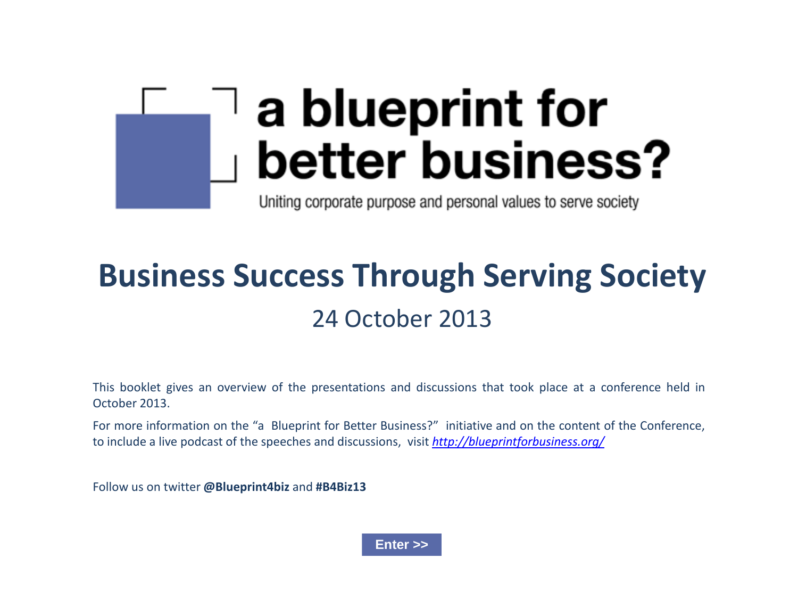# a blueprint for better business?

Uniting corporate purpose and personal values to serve society

# **Business Success Through Serving Society** 24 October 2013

This booklet gives an overview of the presentations and discussions that took place at a conference held in October 2013.

For more information on the "a Blueprint for Better Business?" initiative and on the content of the Conference, to include a live podcast of the speeches and discussions, visit *<http://blueprintforbusiness.org/>*

Follow us on twitter **[@Blueprint4biz](https://twitter.com/Blueprint4Biz)** and **#B4Biz13** 

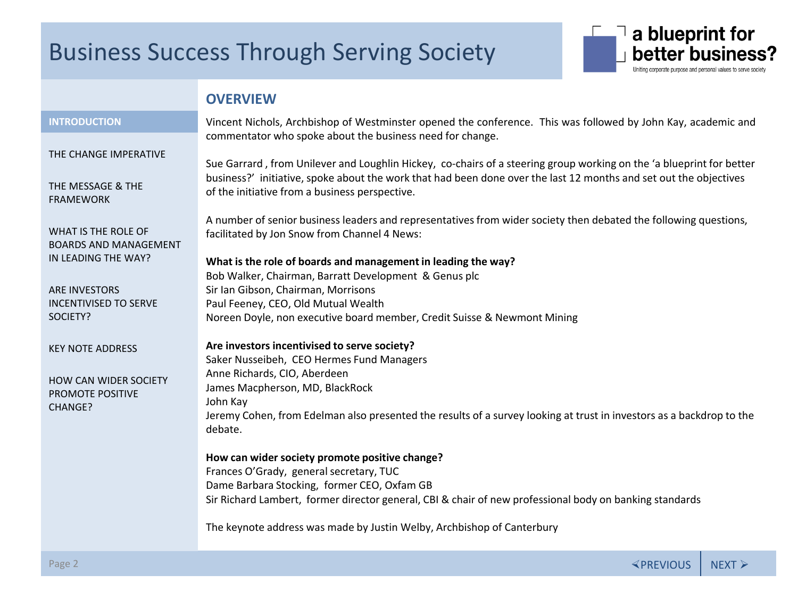

### **OVERVIEW**

#### <span id="page-1-0"></span>INTRODUCTION **INTRODUCTION**

[THE CHANGE IMPERATIVE](#page-3-0)

[THE MESSAGE & THE](#page-4-0)  FRAMEWORK

WHAT IS THE ROLE OF [BOARDS AND MANAGEMENT](#page-6-0)  IN LEADING THE WAY?

ARE INVESTORS [INCENTIVISED TO SERVE](#page-8-0)  SOCIETY?

[KEY NOTE ADDRESS](#page-10-0)

[HOW CAN WIDER SOCIETY](#page-11-0)  PROMOTE POSITIVE CHANGE?

Vincent Nichols, Archbishop of Westminster opened the conference. This was followed by John Kay, academic and commentator who spoke about the business need for change.

Sue Garrard , from Unilever and Loughlin Hickey, co-chairs of a steering group working on the 'a blueprint for better business?' initiative, spoke about the work that had been done over the last 12 months and set out the objectives of the initiative from a business perspective.

A number of senior business leaders and representatives from wider society then debated the following questions, facilitated by Jon Snow from Channel 4 News:

**What is the role of boards and management in leading the way?** Bob Walker, Chairman, Barratt Development & Genus plc Sir Ian Gibson, Chairman, Morrisons Paul Feeney, CEO, Old Mutual Wealth Noreen Doyle, non executive board member, Credit Suisse & Newmont Mining

**Are investors incentivised to serve society?** Saker Nusseibeh, CEO Hermes Fund Managers Anne Richards, CIO, Aberdeen James Macpherson, MD, BlackRock John Kay Jeremy Cohen, from Edelman also presented the results of a survey looking at trust in investors as a backdrop to the debate.

**How can wider society promote positive change?** Frances O'Grady, general secretary, TUC Dame Barbara Stocking, former CEO, Oxfam GB Sir Richard Lambert, former director general, CBI & chair of new professional body on banking standards

The keynote address was made by Justin Welby, Archbishop of Canterbury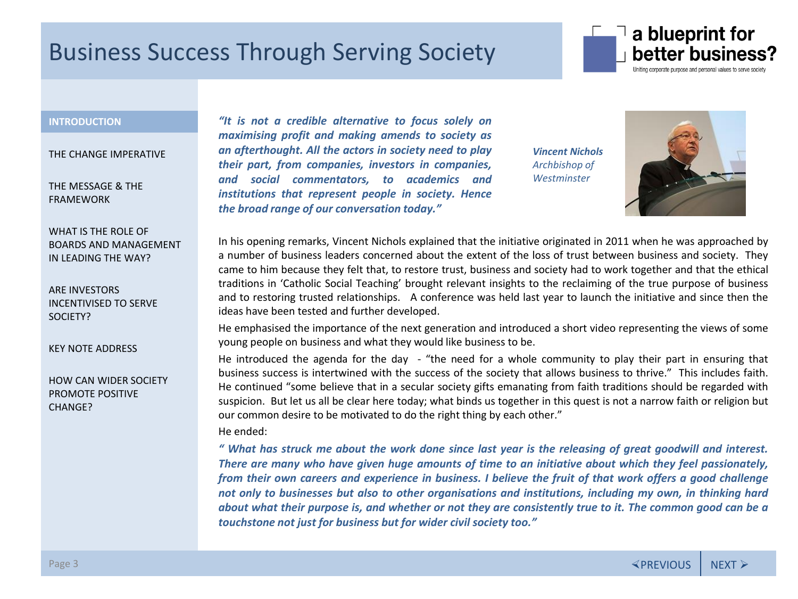

### **INTRODUCTION** INTRODUCTION **[INTRODUCTION](#page-1-0)**

[THE CHANGE IMPERATIVE](#page-3-0)

[THE MESSAGE & THE](#page-4-0)  FRAMEWORK

WHAT IS THE ROLE OF [BOARDS AND MANAGEMENT](#page-6-0)  IN LEADING THE WAY?

ARE INVESTORS [INCENTIVISED TO SERVE](#page-8-0)  SOCIETY?

[KEY NOTE ADDRESS](#page-10-0)

[HOW CAN WIDER SOCIETY](#page-11-0)  PROMOTE POSITIVE CHANGE?

*"It is not a credible alternative to focus solely on maximising profit and making amends to society as an afterthought. All the actors in society need to play their part, from companies, investors in companies, and social commentators, to academics and institutions that represent people in society. Hence the broad range of our conversation today."*

*Vincent Nichols Archbishop of Westminster*



In his opening remarks, Vincent Nichols explained that the initiative originated in 2011 when he was approached by a number of business leaders concerned about the extent of the loss of trust between business and society. They came to him because they felt that, to restore trust, business and society had to work together and that the ethical traditions in 'Catholic Social Teaching' brought relevant insights to the reclaiming of the true purpose of business and to restoring trusted relationships. A conference was held last year to launch the initiative and since then the ideas have been tested and further developed.

He emphasised the importance of the next generation and introduced a short video representing the views of some young people on business and what they would like business to be.

He introduced the agenda for the day - "the need for a whole community to play their part in ensuring that business success is intertwined with the success of the society that allows business to thrive." This includes faith. He continued "some believe that in a secular society gifts emanating from faith traditions should be regarded with suspicion. But let us all be clear here today; what binds us together in this quest is not a narrow faith or religion but our common desire to be motivated to do the right thing by each other."

#### He ended:

" What has struck me about the work done since last year is the releasing of great goodwill and interest. There are many who have given huge amounts of time to an initiative about which they feel passionately, from their own careers and experience in business. I believe the fruit of that work offers a good challenge not only to businesses but also to other organisations and institutions, including my own, in thinking hard about what their purpose is, and whether or not they are consistently true to it. The common good can be a *touchstone not just for business but for wider civil society too."*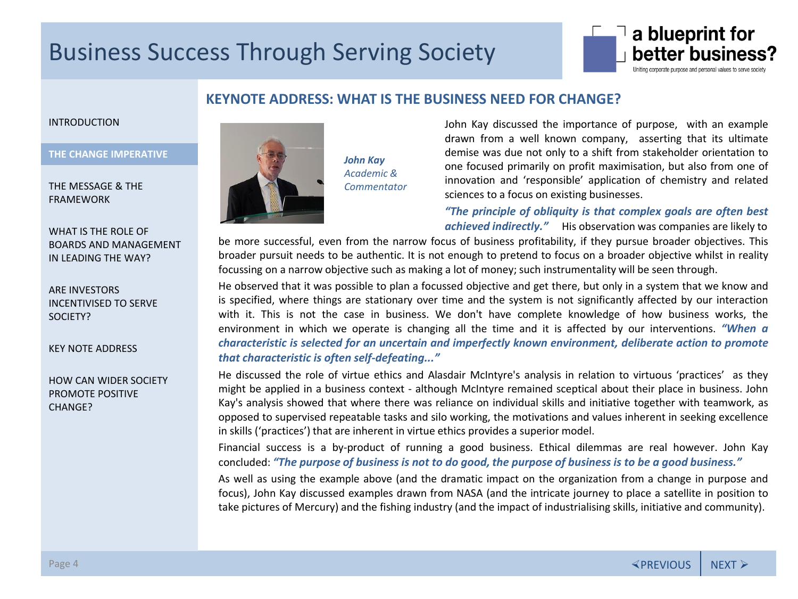

### **KEYNOTE ADDRESS: WHAT IS THE BUSINESS NEED FOR CHANGE?**

#### <span id="page-3-0"></span>[INTRODUCTION](#page-1-0)

#### **THE CHANGE IMPERATIVE** THE CHANGE IMPERATIVE **THE CHANGE IMPERATIVE**

[THE MESSAGE & THE](#page-4-0)  FRAMEWORK

WHAT IS THE ROLE OF [BOARDS AND MANAGEMENT](#page-6-0)  IN LEADING THE WAY?

ARE INVESTORS [INCENTIVISED TO SERVE](#page-8-0)  SOCIETY?

[KEY NOTE ADDRESS](#page-10-0)

[HOW CAN WIDER SOCIETY](#page-11-0)  PROMOTE POSITIVE CHANGE?



*John Kay Academic & Commentator* John Kay discussed the importance of purpose, with an example drawn from a well known company, asserting that its ultimate demise was due not only to a shift from stakeholder orientation to one focused primarily on profit maximisation, but also from one of innovation and 'responsible' application of chemistry and related sciences to a focus on existing businesses.

*"The principle of obliquity is that complex goals are often best achieved indirectly."* His observation was companies are likely to

be more successful, even from the narrow focus of business profitability, if they pursue broader objectives. This broader pursuit needs to be authentic. It is not enough to pretend to focus on a broader objective whilst in reality focussing on a narrow objective such as making a lot of money; such instrumentality will be seen through.

He observed that it was possible to plan a focussed objective and get there, but only in a system that we know and is specified, where things are stationary over time and the system is not significantly affected by our interaction with it. This is not the case in business. We don't have complete knowledge of how business works, the environment in which we operate is changing all the time and it is affected by our interventions. *"When a characteristic is selected for an uncertain and imperfectly known environment, deliberate action to promote that characteristic is often self-defeating..."*

He discussed the role of virtue ethics and Alasdair McIntyre's analysis in relation to virtuous 'practices' as they might be applied in a business context - although McIntyre remained sceptical about their place in business. John Kay's analysis showed that where there was reliance on individual skills and initiative together with teamwork, as opposed to supervised repeatable tasks and silo working, the motivations and values inherent in seeking excellence in skills ('practices') that are inherent in virtue ethics provides a superior model.

Financial success is a by-product of running a good business. Ethical dilemmas are real however. John Kay concluded: "The purpose of business is not to do good, the purpose of business is to be a good business."

As well as using the example above (and the dramatic impact on the organization from a change in purpose and focus), John Kay discussed examples drawn from NASA (and the intricate journey to place a satellite in position to take pictures of Mercury) and the fishing industry (and the impact of industrialising skills, initiative and community).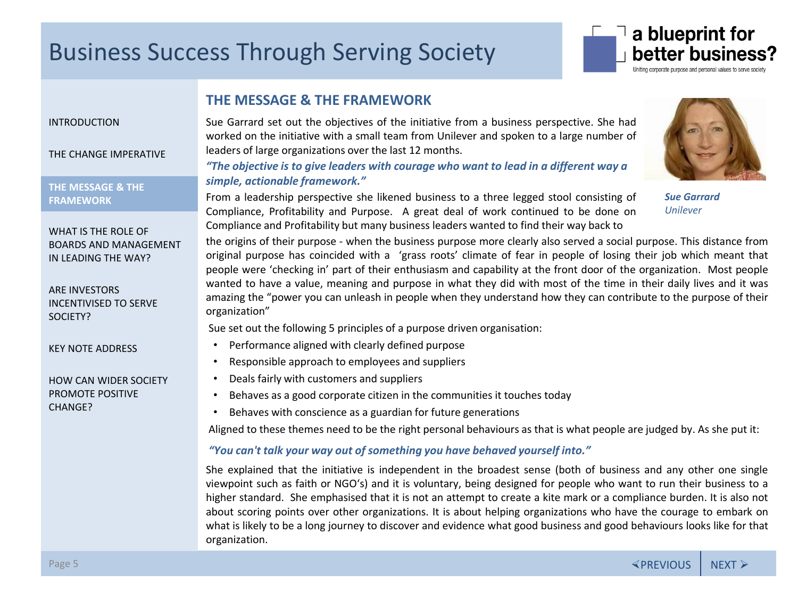

### **THE MESSAGE & THE FRAMEWORK**

#### <span id="page-4-0"></span>[INTRODUCTION](#page-1-0)

[THE CHANGE IMPERATIVE](#page-3-0)

**THE MESSAGE & THE FRAMEWORK** THE MESSAGE & THE **THE MESSAGE & THE**  FRAMEWORK **FRAMEWORK**

WHAT IS THE ROLE OF [BOARDS AND MANAGEMENT](#page-6-0)  IN LEADING THE WAY?

ARE INVESTORS [INCENTIVISED TO SERVE](#page-8-0)  SOCIETY?

[KEY NOTE ADDRESS](#page-10-0)

[HOW CAN WIDER SOCIETY](#page-11-0)  PROMOTE POSITIVE CHANGE?

Sue Garrard set out the objectives of the initiative from a business perspective. She had worked on the initiative with a small team from Unilever and spoken to a large number of leaders of large organizations over the last 12 months.

*"The objective is to give leaders with courage who want to lead in a different way a simple, actionable framework."*

From a leadership perspective she likened business to a three legged stool consisting of Compliance, Profitability and Purpose. A great deal of work continued to be done on Compliance and Profitability but many business leaders wanted to find their way back to

the origins of their purpose - when the business purpose more clearly also served a social purpose. This distance from original purpose has coincided with a 'grass roots' climate of fear in people of losing their job which meant that people were 'checking in' part of their enthusiasm and capability at the front door of the organization. Most people wanted to have a value, meaning and purpose in what they did with most of the time in their daily lives and it was amazing the "power you can unleash in people when they understand how they can contribute to the purpose of their organization"

Sue set out the following 5 principles of a purpose driven organisation:

- Performance aligned with clearly defined purpose
- Responsible approach to employees and suppliers
- Deals fairly with customers and suppliers
- Behaves as a good corporate citizen in the communities it touches today
- Behaves with conscience as a guardian for future generations

Aligned to these themes need to be the right personal behaviours as that is what people are judged by. As she put it:

#### *"You can't talk your way out of something you have behaved yourself into."*

She explained that the initiative is independent in the broadest sense (both of business and any other one single viewpoint such as faith or NGO's) and it is voluntary, being designed for people who want to run their business to a higher standard. She emphasised that it is not an attempt to create a kite mark or a compliance burden. It is also not about scoring points over other organizations. It is about helping organizations who have the courage to embark on what is likely to be a long journey to discover and evidence what good business and good behaviours looks like for that organization.



*Sue Garrard Unilever*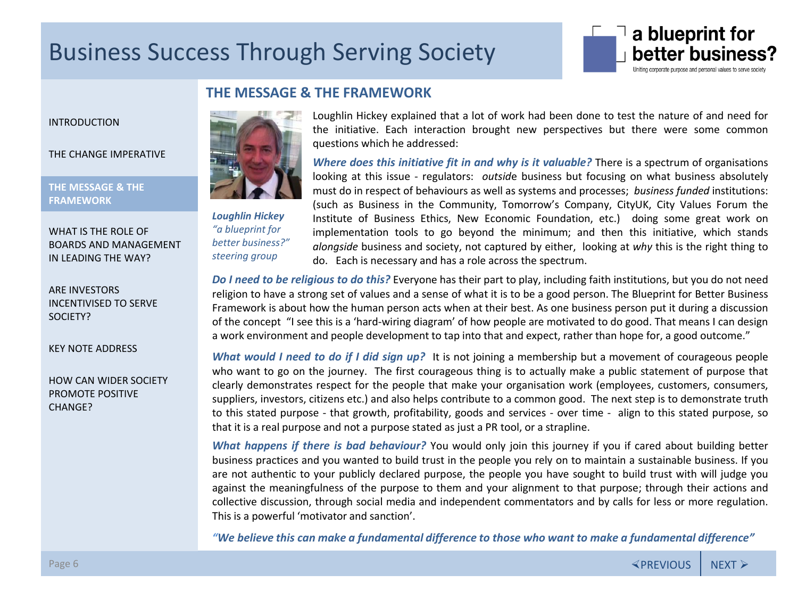

### **THE MESSAGE & THE FRAMEWORK**

[INTRODUCTION](#page-1-0)

[THE CHANGE IMPERATIVE](#page-3-0)

**THE MESSAGE & THE FRAMEWORK** THE MESSAGE & THE **[THE MESSAGE & THE](#page-4-0)**  FRAMEWORK **FRAMEWORK**

WHAT IS THE ROLE OF [BOARDS AND MANAGEMENT](#page-6-0)  IN LEADING THE WAY?

ARE INVESTORS [INCENTIVISED TO SERVE](#page-8-0)  SOCIETY?

[KEY NOTE ADDRESS](#page-10-0)

[HOW CAN WIDER SOCIETY](#page-11-0)  PROMOTE POSITIVE CHANGE?



*Loughlin Hickey "a blueprint for better business?" steering group* 

Loughlin Hickey explained that a lot of work had been done to test the nature of and need for the initiative. Each interaction brought new perspectives but there were some common questions which he addressed:

*Where does this initiative fit in and why is it valuable?* There is a spectrum of organisations looking at this issue - regulators: *outsid*e business but focusing on what business absolutely must do in respect of behaviours as well as systems and processes; *business funded* institutions: (such as Business in the Community, Tomorrow's Company, CityUK, City Values Forum the Institute of Business Ethics, New Economic Foundation, etc.) doing some great work on implementation tools to go beyond the minimum; and then this initiative, which stands *alongside* business and society, not captured by either, looking at *why* this is the right thing to do. Each is necessary and has a role across the spectrum.

*Do I need to be religious to do this?* Everyone has their part to play, including faith institutions, but you do not need religion to have a strong set of values and a sense of what it is to be a good person. The Blueprint for Better Business Framework is about how the human person acts when at their best. As one business person put it during a discussion of the concept "I see this is a 'hard-wiring diagram' of how people are motivated to do good. That means I can design a work environment and people development to tap into that and expect, rather than hope for, a good outcome."

*What would I need to do if I did sign up?* It is not joining a membership but a movement of courageous people who want to go on the journey. The first courageous thing is to actually make a public statement of purpose that clearly demonstrates respect for the people that make your organisation work (employees, customers, consumers, suppliers, investors, citizens etc.) and also helps contribute to a common good. The next step is to demonstrate truth to this stated purpose - that growth, profitability, goods and services - over time - align to this stated purpose, so that it is a real purpose and not a purpose stated as just a PR tool, or a strapline.

*What happens if there is bad behaviour?* You would only join this journey if you if cared about building better business practices and you wanted to build trust in the people you rely on to maintain a sustainable business. If you are not authentic to your publicly declared purpose, the people you have sought to build trust with will judge you against the meaningfulness of the purpose to them and your alignment to that purpose; through their actions and collective discussion, through social media and independent commentators and by calls for less or more regulation. This is a powerful 'motivator and sanction'.

*"We believe this can make a fundamental difference to those who want to make a fundamental difference"*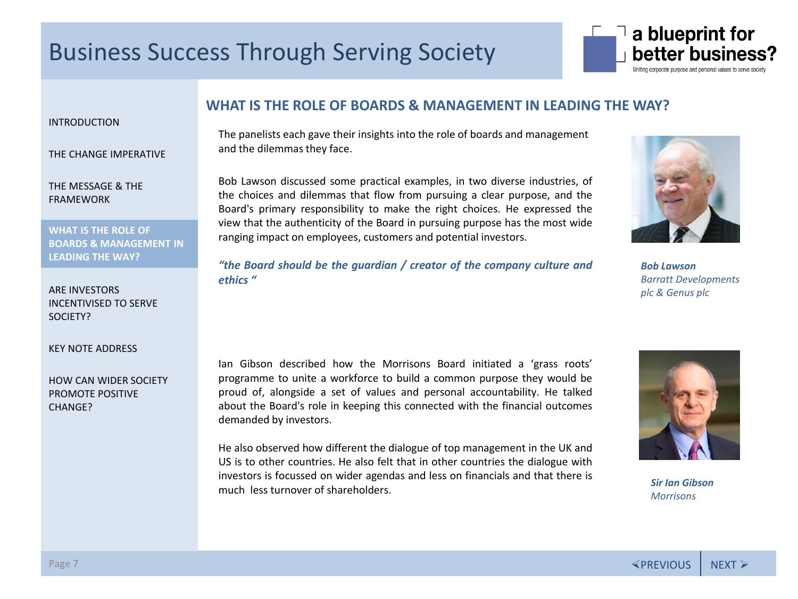

<span id="page-6-0"></span>[INTRODUCTION](#page-1-0)

[THE CHANGE IMPERATIVE](#page-3-0)

[THE MESSAGE & THE](#page-4-0)  FRAMEWORK

**WHAT IS THE ROLE OF BOARDS INC. NULL UP LEADING THE WAY?** WHAT IS THE ROLE OF **WHAT IS THE ROLE OF BOARDS & MANAGEMENT IN LEADING THE WAY?** 

ARE INVESTORS [INCENTIVISED TO SERVE](#page-8-0)  SOCIETY?

[KEY NOTE ADDRESS](#page-10-0)

[HOW CAN WIDER SOCIETY](#page-11-0)  PROMOTE POSITIVE CHANGE?

### **WHAT IS THE ROLE OF BOARDS & MANAGEMENT IN LEADING THE WAY?**

The panelists each gave their insights into the role of boards and management and the dilemmas they face.

Bob Lawson discussed some practical examples, in two diverse industries, of the choices and dilemmas that flow from pursuing a clear purpose, and the Board's primary responsibility to make the right choices. He expressed the view that the authenticity of the Board in pursuing purpose has the most wide ranging impact on employees, customers and potential investors.

*"the Board should be the guardian / creator of the company culture and ethics "*



*Bob Lawson Barratt Developments plc & Genus plc*

Ian Gibson described how the Morrisons Board initiated a 'grass roots' programme to unite a workforce to build a common purpose they would be proud of, alongside a set of values and personal accountability. He talked about the Board's role in keeping this connected with the financial outcomes demanded by investors.

He also observed how different the dialogue of top management in the UK and US is to other countries. He also felt that in other countries the dialogue with investors is focussed on wider agendas and less on financials and that there is much less turnover of shareholders.



*Sir Ian Gibson Morrisons*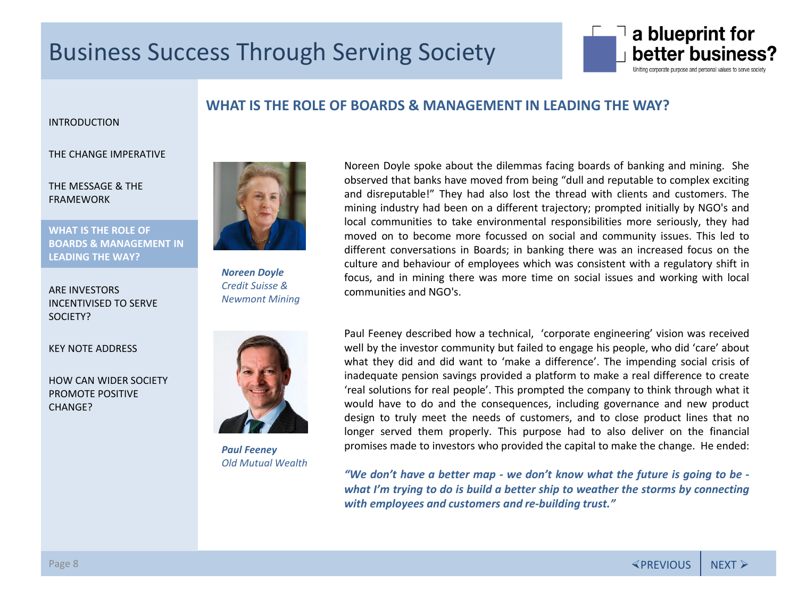

### **WHAT IS THE ROLE OF BOARDS & MANAGEMENT IN LEADING THE WAY?**

#### [INTRODUCTION](#page-1-0)

#### [THE CHANGE IMPERATIVE](#page-3-0)

[THE MESSAGE & THE](#page-4-0)  FRAMEWORK

**WHAT IS THE ROLE OF BOARDS INC. NULL UP LEADING THE WAY?** WHAT IS THE ROLE OF **WHAT IS THE ROLE OF BOARDS & MANAGEMENT IN LEADING THE WAY?** 

ARE INVESTORS [INCENTIVISED TO SERVE](#page-8-0)  SOCIETY?

[KEY NOTE ADDRESS](#page-10-0)

[HOW CAN WIDER SOCIETY](#page-11-0)  PROMOTE POSITIVE CHANGE?



*Noreen Doyle Credit Suisse & Newmont Mining*



*Paul Feeney Old Mutual Wealth* Noreen Doyle spoke about the dilemmas facing boards of banking and mining. She observed that banks have moved from being "dull and reputable to complex exciting and disreputable!" They had also lost the thread with clients and customers. The mining industry had been on a different trajectory; prompted initially by NGO's and local communities to take environmental responsibilities more seriously, they had moved on to become more focussed on social and community issues. This led to different conversations in Boards; in banking there was an increased focus on the culture and behaviour of employees which was consistent with a regulatory shift in focus, and in mining there was more time on social issues and working with local communities and NGO's.

Paul Feeney described how a technical, 'corporate engineering' vision was received well by the investor community but failed to engage his people, who did 'care' about what they did and did want to 'make a difference'. The impending social crisis of inadequate pension savings provided a platform to make a real difference to create 'real solutions for real people'. This prompted the company to think through what it would have to do and the consequences, including governance and new product design to truly meet the needs of customers, and to close product lines that no longer served them properly. This purpose had to also deliver on the financial promises made to investors who provided the capital to make the change. He ended:

*"We don't have a better map - we don't know what the future is going to be what I'm trying to do is build a better ship to weather the storms by connecting with employees and customers and re-building trust."*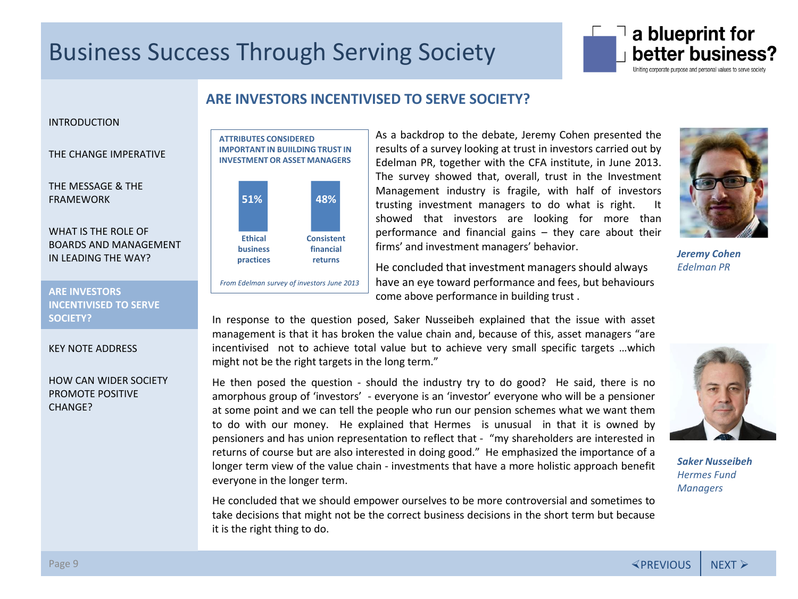

### **ARE INVESTORS INCENTIVISED TO SERVE SOCIETY?**

#### <span id="page-8-0"></span>[INTRODUCTION](#page-1-0)

[THE CHANGE IMPERATIVE](#page-3-0)

[THE MESSAGE & THE](#page-4-0)  FRAMEWORK

WHAT IS THE ROLE OF [BOARDS AND MANAGEMENT](#page-6-0)  IN LEADING THE WAY?

**ARE INVESTORS** ARE INVESTORS **ARE INVESTORS INCENTIVISED TO SERVE**  INCENTIVISED TO SERVE **INCENTIVISED TO SERVE SOCIETY?** SOCIETY? **SOCIETY?**

#### [KEY NOTE ADDRESS](#page-10-0)

[HOW CAN WIDER SOCIETY](#page-11-0)  PROMOTE POSITIVE CHANGE?

#### **ATTRIBUTES CONSIDERED IMPORTANT IN BUIILDING TRUST IN INVESTMENT OR ASSET MANAGERS**



*From Edelman survey of investors June 2013*

As a backdrop to the debate, Jeremy Cohen presented the results of a survey looking at trust in investors carried out by Edelman PR, together with the CFA institute, in June 2013. The survey showed that, overall, trust in the Investment Management industry is fragile, with half of investors trusting investment managers to do what is right. It showed that investors are looking for more than performance and financial gains – they care about their firms' and investment managers' behavior.

He concluded that investment managers should always have an eye toward performance and fees, but behaviours come above performance in building trust .



*Jeremy Cohen Edelman PR*

In response to the question posed, Saker Nusseibeh explained that the issue with asset management is that it has broken the value chain and, because of this, asset managers "are incentivised not to achieve total value but to achieve very small specific targets …which might not be the right targets in the long term."

He then posed the question - should the industry try to do good? He said, there is no amorphous group of 'investors' - everyone is an 'investor' everyone who will be a pensioner at some point and we can tell the people who run our pension schemes what we want them to do with our money. He explained that Hermes is unusual in that it is owned by pensioners and has union representation to reflect that - "my shareholders are interested in returns of course but are also interested in doing good." He emphasized the importance of a longer term view of the value chain - investments that have a more holistic approach benefit everyone in the longer term.

He concluded that we should empower ourselves to be more controversial and sometimes to take decisions that might not be the correct business decisions in the short term but because it is the right thing to do.



*Saker Nusseibeh Hermes Fund Managers*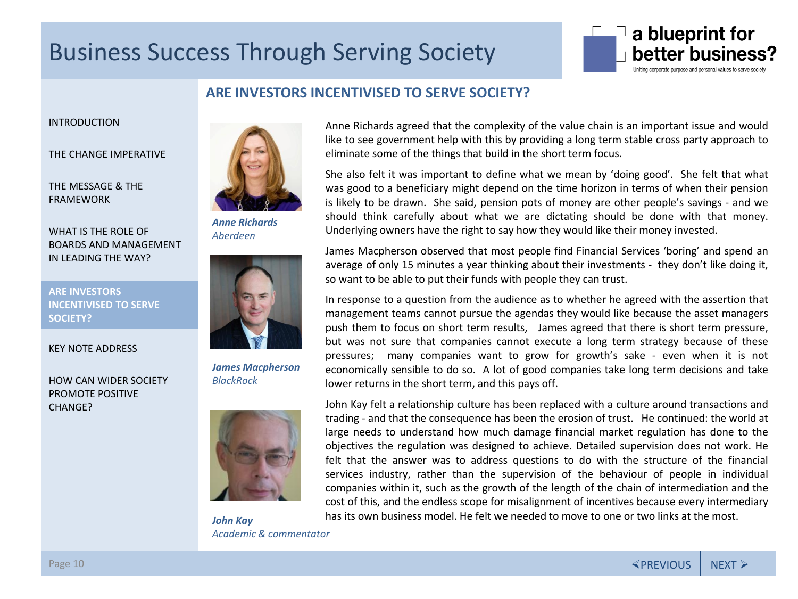

### **ARE INVESTORS INCENTIVISED TO SERVE SOCIETY?**

[INTRODUCTION](#page-1-0)

[THE CHANGE IMPERATIVE](#page-3-0)

[THE MESSAGE & THE](#page-4-0)  FRAMEWORK

WHAT IS THE ROLE OF [BOARDS AND MANAGEMENT](#page-6-0)  IN LEADING THE WAY?

ARE INVESTORS **ARE INVESTORS** INCENTIVISED TO SERVE **[INCENTIVISED TO SERVE](#page-8-0)**  SOCIETY? **SOCIETY?**

[KEY NOTE ADDRESS](#page-10-0)

[HOW CAN WIDER SOCIETY](#page-11-0)  PROMOTE POSITIVE CHANGE?



*Anne Richards Aberdeen*



*James Macpherson BlackRock*



*John Kay Academic & commentator*

Anne Richards agreed that the complexity of the value chain is an important issue and would like to see government help with this by providing a long term stable cross party approach to eliminate some of the things that build in the short term focus.

She also felt it was important to define what we mean by 'doing good'. She felt that what was good to a beneficiary might depend on the time horizon in terms of when their pension is likely to be drawn. She said, pension pots of money are other people's savings - and we should think carefully about what we are dictating should be done with that money. Underlying owners have the right to say how they would like their money invested.

James Macpherson observed that most people find Financial Services 'boring' and spend an average of only 15 minutes a year thinking about their investments - they don't like doing it, so want to be able to put their funds with people they can trust.

In response to a question from the audience as to whether he agreed with the assertion that management teams cannot pursue the agendas they would like because the asset managers push them to focus on short term results, James agreed that there is short term pressure, but was not sure that companies cannot execute a long term strategy because of these pressures; many companies want to grow for growth's sake - even when it is not economically sensible to do so. A lot of good companies take long term decisions and take lower returns in the short term, and this pays off.



John Kay felt a relationship culture has been replaced with a culture around transactions and trading - and that the consequence has been the erosion of trust. He continued: the world at large needs to understand how much damage financial market regulation has done to the objectives the regulation was designed to achieve. Detailed supervision does not work. He felt that the answer was to address questions to do with the structure of the financial services industry, rather than the supervision of the behaviour of people in individual companies within it, such as the growth of the length of the chain of intermediation and the cost of this, and the endless scope for misalignment of incentives because every intermediary has its own business model. He felt we needed to move to one or two links at the most.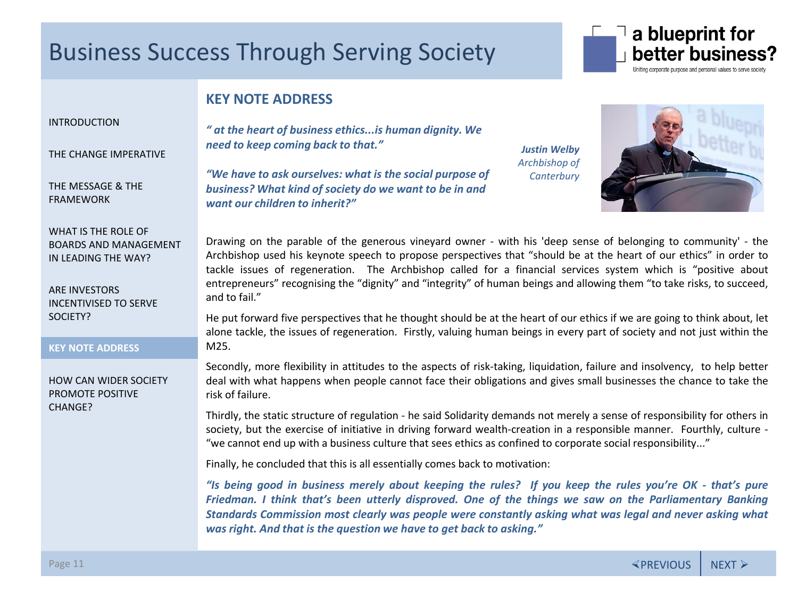

### **KEY NOTE ADDRESS**

#### <span id="page-10-0"></span>[INTRODUCTION](#page-1-0)

[THE CHANGE IMPERATIVE](#page-3-0)

[THE MESSAGE & THE](#page-4-0)  FRAMEWORK

WHAT IS THE ROLE OF [BOARDS AND MANAGEMENT](#page-6-0)  IN LEADING THE WAY?

ARE INVESTORS [INCENTIVISED TO SERVE](#page-8-0)  SOCIETY?

KEY NOTE ADDRESS **KEY NOTE ADDRESS**

[HOW CAN WIDER SOCIETY](#page-11-0)  PROMOTE POSITIVE CHANGE?

*" at the heart of business ethics...is human dignity. We need to keep coming back to that."*

*"We have to ask ourselves: what is the social purpose of business? What kind of society do we want to be in and want our children to inherit?"* 

*Justin Welby Archbishop of Canterbury*



Drawing on the parable of the generous vineyard owner - with his 'deep sense of belonging to community' - the Archbishop used his keynote speech to propose perspectives that "should be at the heart of our ethics" in order to tackle issues of regeneration. The Archbishop called for a financial services system which is "positive about entrepreneurs" recognising the "dignity" and "integrity" of human beings and allowing them "to take risks, to succeed, and to fail."

He put forward five perspectives that he thought should be at the heart of our ethics if we are going to think about, let alone tackle, the issues of regeneration. Firstly, valuing human beings in every part of society and not just within the M25.

Secondly, more flexibility in attitudes to the aspects of risk-taking, liquidation, failure and insolvency, to help better deal with what happens when people cannot face their obligations and gives small businesses the chance to take the risk of failure.

Thirdly, the static structure of regulation - he said Solidarity demands not merely a sense of responsibility for others in society, but the exercise of initiative in driving forward wealth-creation in a responsible manner. Fourthly, culture - "we cannot end up with a business culture that sees ethics as confined to corporate social responsibility..."

Finally, he concluded that this is all essentially comes back to motivation:

"Is being good in business merely about keeping the rules? If you keep the rules you're OK - that's pure *Friedman. I think that's been utterly disproved. One of the things we saw on the Parliamentary Banking Standards Commission most clearly was people were constantly asking what was legal and never asking what was right. And that is the question we have to get back to asking."*